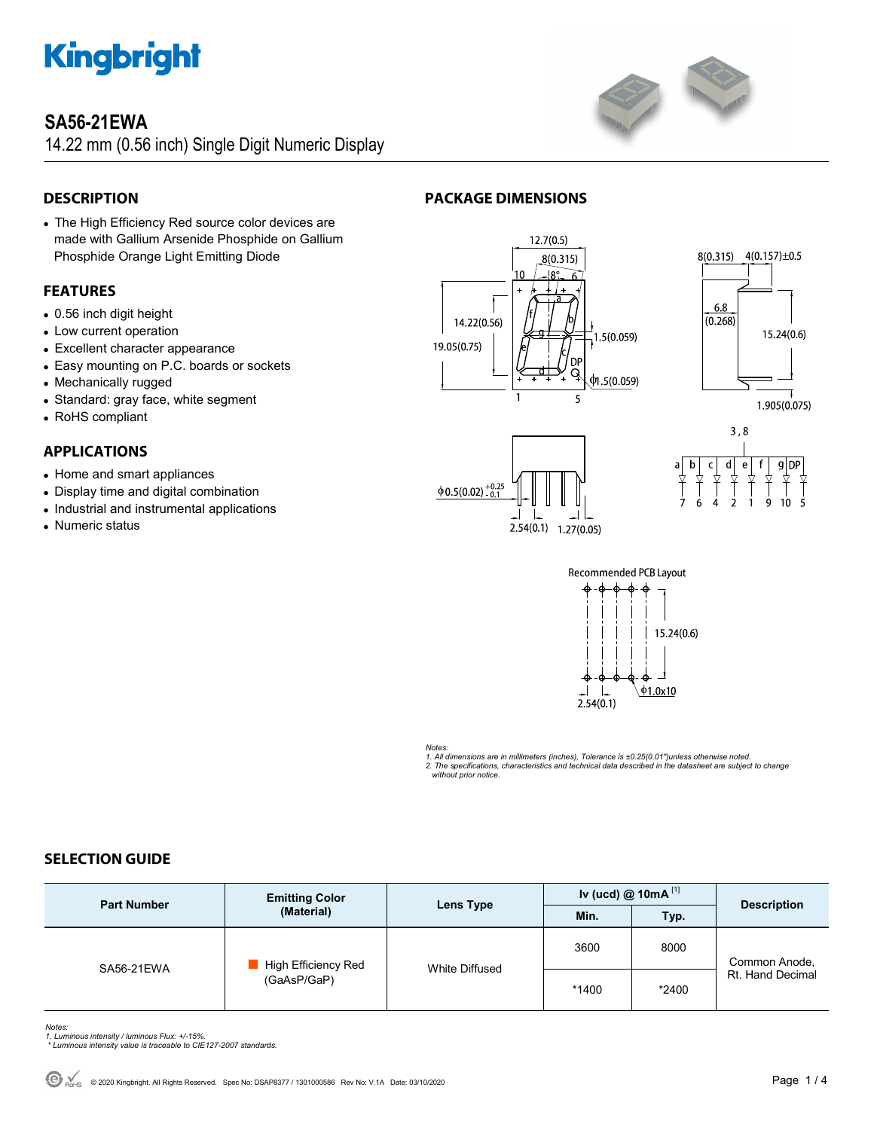

# **SA56-21EWA**

14.22 mm (0.56 inch) Single Digit Numeric Display



### **DESCRIPTION**

 The High Efficiency Red source color devices are made with Gallium Arsenide Phosphide on Gallium Phosphide Orange Light Emitting Diode

### **FEATURES**

- 0.56 inch digit height
- Low current operation
- Excellent character appearance
- Easy mounting on P.C. boards or sockets
- Mechanically rugged
- Standard: gray face, white segment
- RoHS compliant

### **APPLICATIONS**

- Home and smart appliances
- Display time and digital combination
- Industrial and instrumental applications
- Numeric status













#### *Notes:*

*1. All dimensions are in millimeters (inches), Tolerance is ±0.25(0.01")unless otherwise noted. 2. The specifications, characteristics and technical data described in the datasheet are subject to change without prior notice.* 

### **SELECTION GUIDE**

| <b>Part Number</b> | <b>Emitting Color</b><br>(Material) | Lens Type      | Iv (ucd) @ 10mA $^{[1]}$ |       | <b>Description</b>                |
|--------------------|-------------------------------------|----------------|--------------------------|-------|-----------------------------------|
|                    |                                     |                | Min.                     | Typ.  |                                   |
| SA56-21EWA         | High Efficiency Red<br>(GaAsP/GaP)  | White Diffused | 3600                     | 8000  | Common Anode,<br>Rt. Hand Decimal |
|                    |                                     |                | *1400                    | *2400 |                                   |

*Notes: 1. Luminous intensity / luminous Flux: +/-15%.* 

 *\* Luminous intensity value is traceable to CIE127-2007 standards.*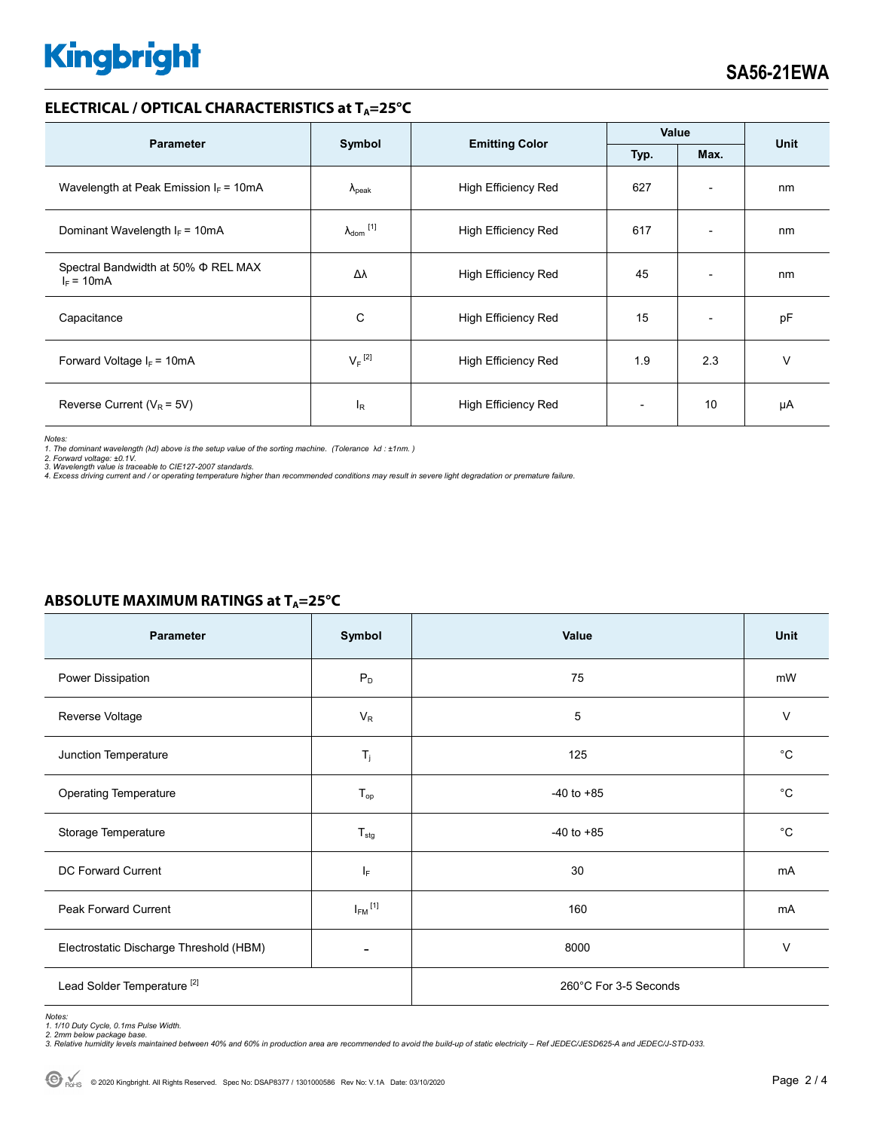# **Kingbright**

#### **ELECTRICAL / OPTICAL CHARACTERISTICS at TA=25°C**

| <b>Parameter</b>                                         | Symbol                     | <b>Emitting Color</b>      | Value |                          |             |
|----------------------------------------------------------|----------------------------|----------------------------|-------|--------------------------|-------------|
|                                                          |                            |                            | Typ.  | Max.                     | <b>Unit</b> |
| Wavelength at Peak Emission $I_F = 10mA$                 | $\Lambda_{\rm peak}$       | <b>High Efficiency Red</b> | 627   | $\overline{\phantom{0}}$ | nm          |
| Dominant Wavelength $I_F = 10mA$                         | $\lambda_{\text{dom}}$ [1] | <b>High Efficiency Red</b> | 617   | $\overline{\phantom{0}}$ | nm          |
| Spectral Bandwidth at 50% $\Phi$ REL MAX<br>$I_F = 10mA$ | Δλ                         | <b>High Efficiency Red</b> | 45    | $\overline{\phantom{a}}$ | nm          |
| Capacitance                                              | C                          | <b>High Efficiency Red</b> | 15    | $\overline{\phantom{0}}$ | pF          |
| Forward Voltage $I_F$ = 10mA                             | $V_F$ <sup>[2]</sup>       | <b>High Efficiency Red</b> | 1.9   | 2.3                      | v           |
| Reverse Current ( $V_R$ = 5V)                            | $I_R$                      | <b>High Efficiency Red</b> |       | 10                       | μA          |

*Notes:* 

*1. The dominant wavelength (*λ*d) above is the setup value of the sorting machine. (Tolerance* λ*d : ±1nm. )* 

*2. Forward voltage: ±0.1V. 3. Wavelength value is traceable to CIE127-2007 standards.* 

*4. Excess driving current and / or operating temperature higher than recommended conditions may result in severe light degradation or premature failure.* 

# Parameter Symbol Value Unit Power Dissipation  $P_D$   $P_D$   $P_D$   $P_3$   $P_4$   $P_5$   $P_6$   $P_7$   $P_8$   $P_9$   $P_9$   $P_9$   $P_9$   $P_9$   $P_9$   $P_9$   $P_9$   $P_9$   $P_9$   $P_9$   $P_9$   $P_9$   $P_9$   $P_9$   $P_9$   $P_9$   $P_9$   $P_9$   $P_9$   $P_9$   $P_9$   $P_9$   $P_9$   $P_9$   $P$ Reverse Voltage  $V$  and  $V_{\rm R}$  is the verse voltage in the value of  $V_{\rm R}$  is the value of  $V_{\rm R}$  . In the value of  $V_{\rm R}$ Junction Temperature **Times of Contract Contract Times of Times In the Contract Oriental Automobile Contract Orient** Operating Temperature and the Contract of T<sub>op</sub> Contract 10 to +85 and to +85 contract 20 to +85 contract 20 to +85 Storage Temperature **T<sub>stg</sub> -40** to +85 <sup>o</sup>C DC Forward Current **IF CONSERVING CONSERVERSITY** IF THE **IF A** 30 mA Peak Forward Current  $I_{FM}$ <sup>[1]</sup>  $^{[1]}$  mA Electrostatic Discharge Threshold (HBM)  $\overline{a}$  and  $\overline{a}$  and  $\overline{a}$  and  $\overline{a}$  and  $\overline{a}$  and  $\overline{a}$  and  $\overline{a}$  and  $\overline{a}$  and  $\overline{a}$  and  $\overline{a}$  and  $\overline{a}$  and  $\overline{a}$  and  $\overline{a}$  and  $\overline{a}$  and Lead Solder Temperature<sup>[2]</sup> 260°C For 3-5 Seconds

# **ABSOLUTE MAXIMUM RATINGS at TA=25°C**

*Notes: 1. 1/10 Duty Cycle, 0.1ms Pulse Width.* 

*2. 2mm below package base. 3. Relative humidity levels maintained between 40% and 60% in production area are recommended to avoid the build-up of static electricity – Ref JEDEC/JESD625-A and JEDEC/J-STD-033.*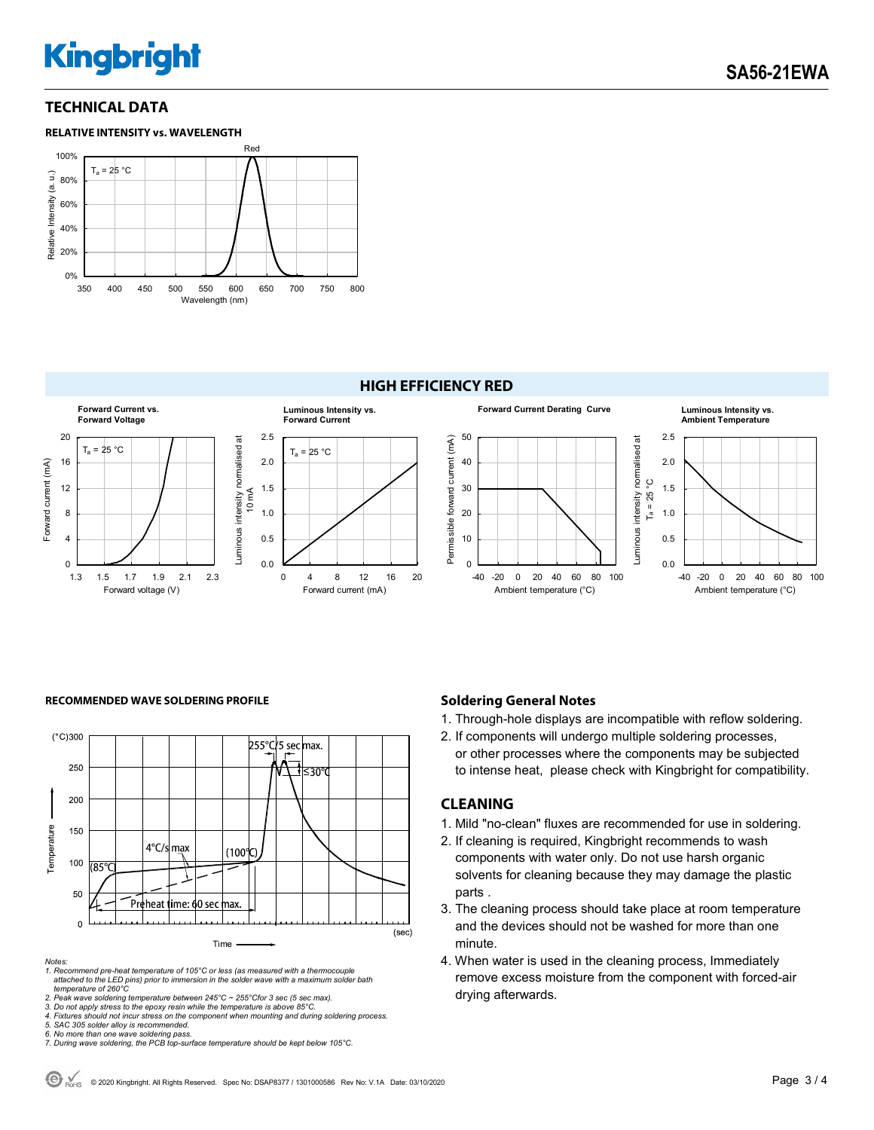# **Kingbright**

### **TECHNICAL DATA**



#### **HIGH EFFICIENCY RED**



#### **RECOMMENDED WAVE SOLDERING PROFILE <b>A CONDUCT A CONDUCT SOLDERING PROFILE Soldering General Notes**



#### *Notes:*

*1. Recommend pre-heat temperature of 105°C or less (as measured with a thermocouple attached to the LED pins) prior to immersion in the solder wave with a maximum solder bath temperature of 260°C* 

- 1. Through-hole displays are incompatible with reflow soldering.
- 2. If components will undergo multiple soldering processes, or other processes where the components may be subjected to intense heat, please check with Kingbright for compatibility.

#### **CLEANING**

- 1. Mild "no-clean" fluxes are recommended for use in soldering.
- 2. If cleaning is required, Kingbright recommends to wash components with water only. Do not use harsh organic solvents for cleaning because they may damage the plastic parts .
- 3. The cleaning process should take place at room temperature and the devices should not be washed for more than one minute.
- 4. When water is used in the cleaning process, Immediately remove excess moisture from the component with forced-air drying afterwards.

<sup>2.</sup> Peak wave soldering temperature between 245°C ~ 255°Cfor 3 sec (5 sec max).<br>3. Do not apply stress to the epoxy resin while the temperature is above 85°C.<br>4. Fixtures should not incur stress on the component when mounti

*<sup>5.</sup> SAC 305 solder alloy is recommended.* 

*<sup>6.</sup> No more than one wave soldering pass. 7. During wave soldering, the PCB top-surface temperature should be kept below 105°C.*